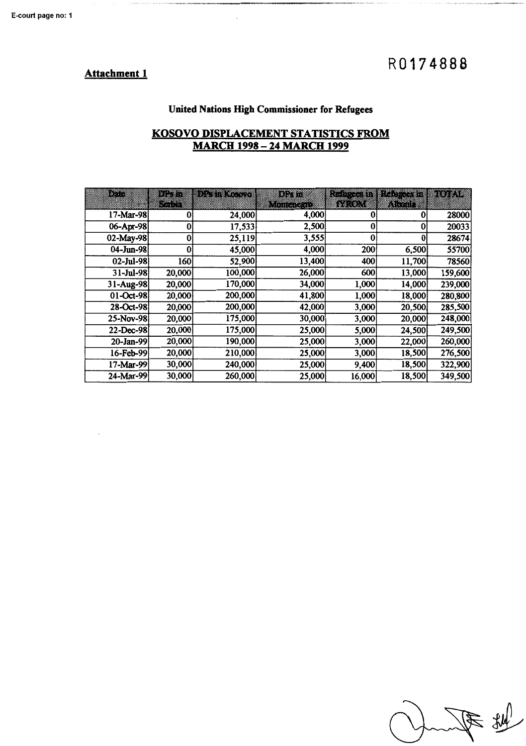## **R0174888**

#### **Attachment 1**

#### **United Nations High Commissioner for Refugees**

#### **KOSOVO DISPLACEMENT STATISTICS FROM MARCH 1998- 24 MARCH 1999**

| 873       | 883    | D. R. G. G. G. G. | burn            | <u>ku mwaka 19</u> |        | 8923    |
|-----------|--------|-------------------|-----------------|--------------------|--------|---------|
|           | 833    |                   | <u>Manalett</u> | 82 O.U             | at din |         |
| 17-Mar-98 |        | 24,000            | 4,000           |                    |        | 28000   |
| 06-Apr-98 |        | 17,533            | 2,500           | 0                  | 0      | 20033   |
| 02-May-98 | 0      | 25,119            | 3,555           | 0                  | 0      | 28674   |
| 04-Jun-98 |        | 45,000            | 4,000           | 200                | 6,500  | 55700   |
| 02-Jul-98 | 160    | 52,900            | 13,400          | 400                | 11,700 | 78560   |
| 31-Jul-98 | 20,000 | 100,000           | 26,000          | 600                | 13,000 | 159,600 |
| 31-Aug-98 | 20,000 | 170,000           | 34,000          | 1,000              | 14,000 | 239,000 |
| 01-Oct-98 | 20,000 | 200,000           | 41,800          | 1,000              | 18,000 | 280,800 |
| 28-Oct-98 | 20,000 | 200,000           | 42,000          | 3,000              | 20,500 | 285,500 |
| 25-Nov-98 | 20,000 | 175,000           | 30,000          | 3,000              | 20,000 | 248,000 |
| 22-Dec-98 | 20,000 | 175,000           | 25,000          | 5,000              | 24,500 | 249,500 |
| 20-Jan-99 | 20,000 | 190,000           | 25,000          | 3,000              | 22,000 | 260,000 |
| 16-Feb-99 | 20,000 | 210,000           | 25,000          | 3,000              | 18,500 | 276,500 |
| 17-Mar-99 | 30,000 | 240,000           | 25,000          | 9,400              | 18,500 | 322,900 |
| 24-Mar-99 | 30,000 | 260,000           | 25,000          | 16,000             | 18,500 | 349,500 |